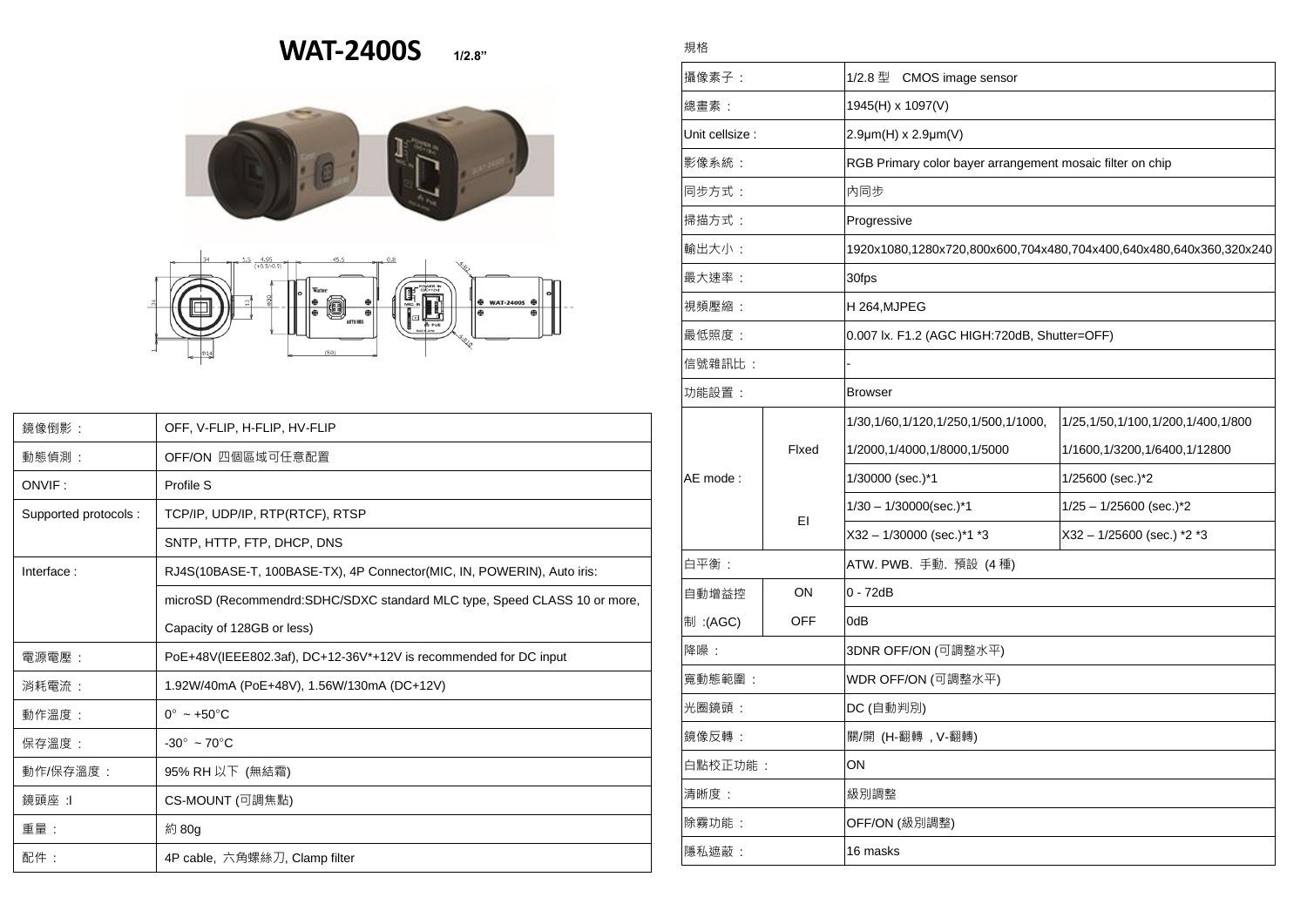## **WAT-2400S 1/2.8"**

規格





| 鏡像倒影:                | OFF, V-FLIP, H-FLIP, HV-FLIP                                              |  |  |
|----------------------|---------------------------------------------------------------------------|--|--|
| 動態偵測:                | OFF/ON 四個區域可任意配置                                                          |  |  |
| ONVIF:               | Profile S                                                                 |  |  |
| Supported protocols: | TCP/IP, UDP/IP, RTP(RTCF), RTSP                                           |  |  |
|                      | SNTP, HTTP, FTP, DHCP, DNS                                                |  |  |
| Interface:           | RJ4S(10BASE-T, 100BASE-TX), 4P Connector(MIC, IN, POWERIN), Auto iris:    |  |  |
|                      | microSD (Recommendrd:SDHC/SDXC standard MLC type, Speed CLASS 10 or more, |  |  |
|                      | Capacity of 128GB or less)                                                |  |  |
| 電源電壓:                | PoE+48V(IEEE802.3af), DC+12-36V*+12V is recommended for DC input          |  |  |
| 消耗電流 :               | 1.92W/40mA (PoE+48V), 1.56W/130mA (DC+12V)                                |  |  |
| 動作溫度:                | $0^\circ \sim +50^\circ \text{C}$                                         |  |  |
| 保存溫度:                | $-30^\circ \sim 70^\circ \text{C}$                                        |  |  |
| 動作/保存溫度 :            | 95% RH 以下 (無結霜)                                                           |  |  |
| 鏡頭座 :I               | CS-MOUNT (可調焦點)                                                           |  |  |
| 重量:                  | 約 80g                                                                     |  |  |
| 配件:                  | 4P cable, 六角螺絲刀, Clamp filter                                             |  |  |

| 攝像素子:           |             | 1/2.8 型<br>CMOS image sensor                                       |                                        |  |
|-----------------|-------------|--------------------------------------------------------------------|----------------------------------------|--|
| 總書素:            |             | 1945(H) x 1097(V)                                                  |                                        |  |
| Unit cellsize : |             | $2.9 \mu m(H) \times 2.9 \mu m(V)$                                 |                                        |  |
| 影像系統:           |             | RGB Primary color bayer arrangement mosaic filter on chip          |                                        |  |
| 同步方式:           |             | 内同步                                                                |                                        |  |
| 掃描方式:           |             | Progressive                                                        |                                        |  |
| 輸出大小:           |             | 1920x1080,1280x720,800x600,704x480,704x400,640x480,640x360,320x240 |                                        |  |
| 最大速率:           |             | 30fps                                                              |                                        |  |
| 視頻壓縮:           |             | H 264, MJPEG                                                       |                                        |  |
| 最低照度:           |             | 0.007 lx. F1.2 (AGC HIGH:720dB, Shutter=OFF)                       |                                        |  |
| 信號雜訊比 :         |             |                                                                    |                                        |  |
| 功能設置:           |             | <b>Browser</b>                                                     |                                        |  |
|                 | Fixed<br>EI | 1/30, 1/60, 1/120, 1/250, 1/500, 1/1000,                           | 1/25, 1/50, 1/100, 1/200, 1/400, 1/800 |  |
|                 |             | 1/2000,1/4000,1/8000,1/5000                                        | 1/1600, 1/3200, 1/6400, 1/12800        |  |
| AE mode:        |             | 1/30000 (sec.)*1                                                   | 1/25600 (sec.)*2                       |  |
|                 |             | $1/30 - 1/30000$ (sec.)*1                                          | $1/25 - 1/25600$ (sec.) <sup>*</sup> 2 |  |
|                 |             | $X32 - 1/30000$ (sec.)*1 *3                                        | X32 - 1/25600 (sec.) *2 *3             |  |
| 白平衡:            |             | ATW. PWB. 手動. 預設 (4種)                                              |                                        |  |
| 自動增益控           | ON          | $0 - 72dB$                                                         |                                        |  |
| 制:(AGC)         | <b>OFF</b>  | 0dB                                                                |                                        |  |
| 降噪:             |             | 3DNR OFF/ON (可調整水平)                                                |                                        |  |
| 寬動態範圍:          |             | WDR OFF/ON (可調整水平)                                                 |                                        |  |
| 光圈鏡頭:           |             | DC (自動判別)                                                          |                                        |  |
| 鏡像反轉:           |             | 關/開 (H-翻轉, V-翻轉)                                                   |                                        |  |
| 白點校正功能:         |             | ON                                                                 |                                        |  |
| 清晰度:            |             | 級別調整                                                               |                                        |  |
| 除霧功能:           |             | OFF/ON (級別調整)                                                      |                                        |  |
| 隱私遮蔽:           |             | 16 masks                                                           |                                        |  |
|                 |             |                                                                    |                                        |  |